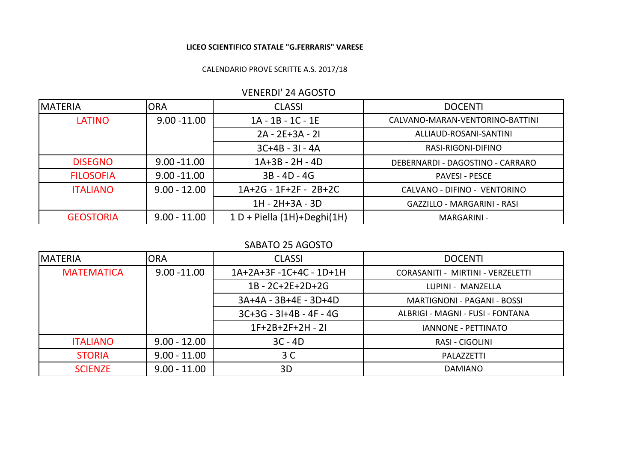## **LICEO SCIENTIFICO STATALE "G.FERRARIS" VARESE**

## CALENDARIO PROVE SCRITTE A.S. 2017/18

| VLIVLINDI ZTAUOJIU |                |                               |                                    |  |  |
|--------------------|----------------|-------------------------------|------------------------------------|--|--|
| IMATERIA           | <b>ORA</b>     | <b>CLASSI</b>                 | <b>DOCENTI</b>                     |  |  |
| <b>LATINO</b>      | $9.00 - 11.00$ | $1A - 1B - 1C - 1E$           | CALVANO-MARAN-VENTORINO-BATTINI    |  |  |
|                    |                | $2A - 2E + 3A - 2I$           | ALLIAUD-ROSANI-SANTINI             |  |  |
|                    |                | $3C+4B - 3I - 4A$             | RASI-RIGONI-DIFINO                 |  |  |
| <b>DISEGNO</b>     | $9.00 - 11.00$ | $1A+3B - 2H - 4D$             | DEBERNARDI - DAGOSTINO - CARRARO   |  |  |
| <b>FILOSOFIA</b>   | $9.00 - 11.00$ | $3B - 4D - 4G$                | <b>PAVESI - PESCE</b>              |  |  |
| <b>ITALIANO</b>    | $9.00 - 12.00$ | 1A+2G - 1F+2F - 2B+2C         | CALVANO - DIFINO - VENTORINO       |  |  |
|                    |                | 1H - 2H+3A - 3D               | <b>GAZZILLO - MARGARINI - RASI</b> |  |  |
| <b>GEOSTORIA</b>   | $9.00 - 11.00$ | $1 D +$ Piella (1H)+Deghi(1H) | MARGARINI -                        |  |  |

## VENERDI' 24 AGOSTO

## SABATO 25 AGOSTO

| <b>IMATERIA</b>   | <b>ORA</b>     | <b>CLASSI</b>             | <b>DOCENTI</b>                    |
|-------------------|----------------|---------------------------|-----------------------------------|
| <b>MATEMATICA</b> | $9.00 - 11.00$ | 1A+2A+3F-1C+4C-1D+1H      | CORASANITI - MIRTINI - VERZELETTI |
|                   |                | $1B - 2C + 2E + 2D + 2G$  | LUPINI - MANZELLA                 |
|                   |                | 3A+4A - 3B+4E - 3D+4D     | MARTIGNONI - PAGANI - BOSSI       |
|                   |                | $3C+3G - 3I+4B - 4F - 4G$ | ALBRIGI - MAGNI - FUSI - FONTANA  |
|                   |                | $1F+2B+2F+2H - 2I$        | <b>IANNONE - PETTINATO</b>        |
| <b>ITALIANO</b>   | $9.00 - 12.00$ | $3C - 4D$                 | RASI - CIGOLINI                   |
| <b>STORIA</b>     | $9.00 - 11.00$ | 3 C                       | PALAZZETTI                        |
| <b>SCIENZE</b>    | $9.00 - 11.00$ | 3D                        | <b>DAMIANO</b>                    |